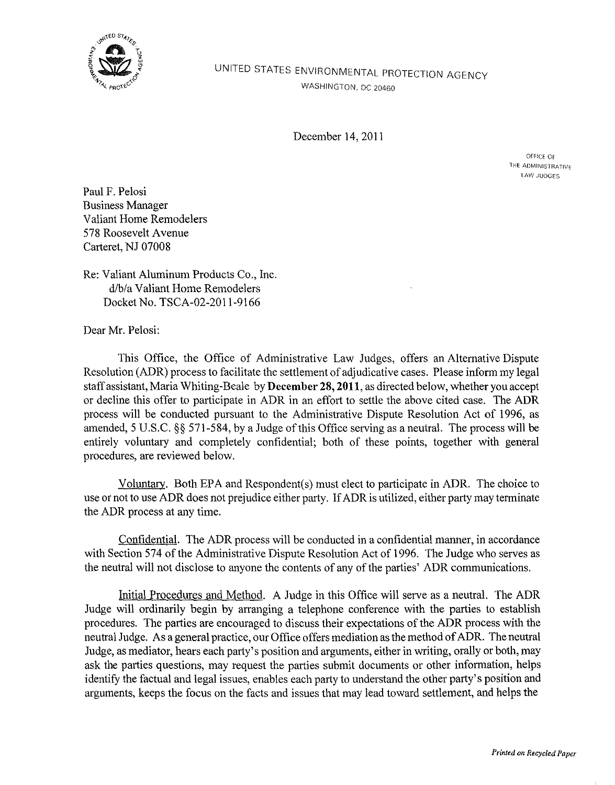

## UNITED STATES ENVIRONMENTAL PROTECTION AGENCY WASHINGTON, DC 20460

December 14,2011

OFFICE OF THE ADMINISTRATIVE LAW JUDGES

Paul F. Pelosi Business Manager Valiant Home Remodelers 578 Roosevelt Avenue Carteret, NJ 07008

Re: Valiant Aluminum Products Co., Inc. d/b/a Valiant Home Remodelers Docket No. TSCA-02-2011-9166

Dear Mr. Pelosi:

This Office, the Office of Administrative Law Judges, offers an Alternative Dispute Resolution (ADR) process to facilitate the settlement of adjudicative cases. Please inform my legal staff assistant, Maria Whiting-Beale by **December** 28, **2011,** as directed below, whether you accept or decline this offer to participate in ADR in an effort to settle the above cited case. The ADR process will be conducted pursuant to the Administrative Dispute Resolution Act of 1996, as amended, 5 U.S.C. §§ 571-584, by a Judge of this Office serving as a neutral. The process will be entirely voluntary and completely confidential; both of these points, together with general procedures, are reviewed below.

Voluntazy. Both EPA and Respondent(s) must elect to participate in ADR. The choice to use or not to use ADR does not prejudice either party. If ADR is utilized, either party may terminate the ADR process at any time.

Confidential. The ADR process will be conducted in a confidential manner, in accordance with Section 574 of the Administrative Dispute Resolution Act of 1996. The Judge who serves as the neutral will not disclose to anyone the contents of any of the parties' ADR communications.

Initial Procedures and Method. A Judge in this Office will serve as a neutral. The ADR Judge will ordinarily begin by arranging a telephone conference with the parties to establish procedures. The parties are encouraged to discuss their expectations of the ADR process with the neutral Judge. As a general practice, our Office offers mediation as the method of ADR. The neutral Judge, as mediator, hears each party's position and arguments, either in writing, orally or both, may ask the parties questions, may request the parties submit documents or other information, helps identify the factual and legal issues, enables each party to understand the other party's position and arguments, keeps the focus on the facts and issues that may lead toward settlement, and helps the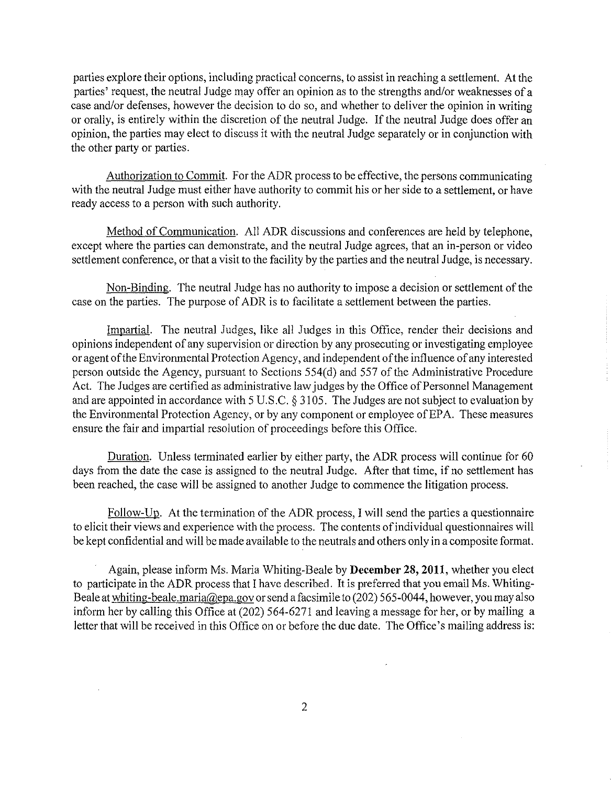parties explore their options, including practical concerns, to assist in reaching a settlement. At the parties' request, the neutral Judge may offer an opinion as to the strengths and/or weaknesses of a case and/or defenses, however the decision to do so, and whether to deliver the opinion in writing or orally, is entirely within the discretion of the neutral Judge. If the neutral Judge does offer an opinion, the parties may elect to discuss it with the neutral Judge separately or in conjunction with the other party or parties.

Authorization to Commit. For the ADR process to be effective, the persons communicating with the neutral Judge must either have authority to commit his or her side to a settlement, or have ready access to a person with such authority.

Method of Communication. All ADR discussions and conferences are held by telephone, except where the parties can demonstrate, and the neutral Judge agrees, that an in-person or video settlement conference, or that a visit to the facility by the parties and the neutral Judge, is necessary.

Non-Binding. The neutral Judge has no authority to impose a decision or settlement of the case on the parties. The purpose of ADR is to facilitate a settlement between the parties.

Impartial. The neutral Judges, like all Judges in this Office, render their decisions and opinions independent of any supervision or direction by any prosecuting or investigating employee or agent of the Environmental Protection Agency, and independent of the influence of any interested person outside the Agency, pursuant to Sections 554( d) and 557 of the Administrative Procedure Act. The Judges are certified as administrative law judges by the Office of Personnel Management and are appointed in accordance with 5 U.S.C. § 3105. The Judges are not subject to evaluation by the Environmental Protection Agency, or by any component or employee of EPA. These measures ensure the fair and impartial resolution of proceedings before this Office.

Duration. Unless terminated earlier by either party, the ADR process will continue for 60 days from the date the case is assigned to the neutral Judge. After that time, if no settlement has been reached, the case will be assigned to another Judge to commence the litigation process.

Follow-Up. At the termination of the ADR process, I will send the parties a questionnaire to elicit their views and experience with the process. The contents of individual questionnaires will be kept confidential and will be made available to the neutrals and others only in a composite format.

Again, please inform Ms. Maria Whiting-Beale by **December** 28, **2011,** whether you elect to participate in the ADR process that I have described. It is preferred that you email Ms. Whiting-Beale at whiting-beale.maria@epa.gov or send a facsimile to (202) 565-0044, however, you may also inform her by calling this Office at (202) 564-6271 and leaving a message for her, or by mailing a letter that will be received in this Office on or before the due date. The Office's mailing address is: